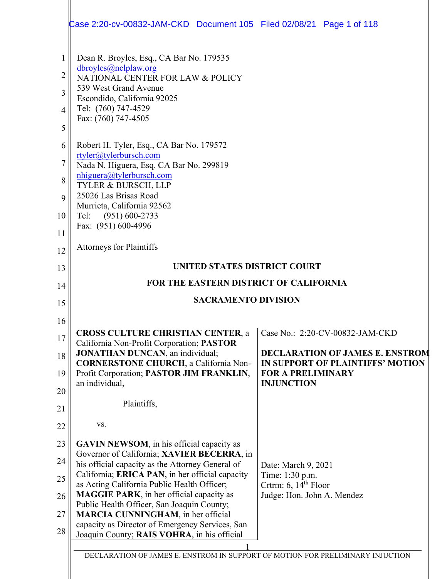|                     | Case 2:20-cv-00832-JAM-CKD Document 105 Filed 02/08/21 Page 1 of 118                            |                                                      |
|---------------------|-------------------------------------------------------------------------------------------------|------------------------------------------------------|
|                     |                                                                                                 |                                                      |
| $\mathbf{1}$        | Dean R. Broyles, Esq., CA Bar No. 179535<br>dbroyles@nclplaw.org                                |                                                      |
| $\overline{2}$<br>3 | NATIONAL CENTER FOR LAW & POLICY<br>539 West Grand Avenue                                       |                                                      |
| 4                   | Escondido, California 92025<br>Tel: (760) 747-4529                                              |                                                      |
| 5                   | Fax: (760) 747-4505                                                                             |                                                      |
| 6                   | Robert H. Tyler, Esq., CA Bar No. 179572                                                        |                                                      |
| 7                   | rtyler@tylerbursch.com<br>Nada N. Higuera, Esq. CA Bar No. 299819                               |                                                      |
| 8                   | nhiguera@tylerbursch.com<br>TYLER & BURSCH, LLP                                                 |                                                      |
| 9                   | 25026 Las Brisas Road<br>Murrieta, California 92562                                             |                                                      |
| 10                  | $(951)$ 600-2733<br>Tel:                                                                        |                                                      |
| 11                  | Fax: (951) 600-4996                                                                             |                                                      |
| 12                  | <b>Attorneys for Plaintiffs</b>                                                                 |                                                      |
| 13                  | UNITED STATES DISTRICT COURT                                                                    |                                                      |
| 14                  | FOR THE EASTERN DISTRICT OF CALIFORNIA<br><b>SACRAMENTO DIVISION</b>                            |                                                      |
|                     |                                                                                                 |                                                      |
| 15                  |                                                                                                 |                                                      |
| 16                  |                                                                                                 |                                                      |
| 17                  | <b>CROSS CULTURE CHRISTIAN CENTER, a</b><br>California Non-Profit Corporation; PASTOR           | Case No.: 2:20-CV-00832-JAM-CKD                      |
| 18                  | <b>JONATHAN DUNCAN</b> , an individual;<br><b>CORNERSTONE CHURCH</b> , a California Non-        | IN SUPPORT OF PLAINTIFFS' MOTION                     |
| 19                  | Profit Corporation; PASTOR JIM FRANKLIN,<br>an individual,                                      | <b>FOR A PRELIMINARY</b><br><b>INJUNCTION</b>        |
| 20<br>21            | Plaintiffs,                                                                                     |                                                      |
| 22                  | VS.                                                                                             |                                                      |
| 23                  | <b>GAVIN NEWSOM</b> , in his official capacity as                                               |                                                      |
| 24                  | Governor of California; XAVIER BECERRA, in<br>his official capacity as the Attorney General of  | Date: March 9, 2021                                  |
| 25                  | California; ERICA PAN, in her official capacity                                                 | Time: 1:30 p.m.                                      |
| 26                  | as Acting California Public Health Officer;<br><b>MAGGIE PARK</b> , in her official capacity as | Crtrm: $6, 14th$ Floor<br>Judge: Hon. John A. Mendez |
| 27                  | Public Health Officer, San Joaquin County;<br><b>MARCIA CUNNINGHAM</b> , in her official        | <b>DECLARATION OF JAMES E. ENSTROM</b>               |
| 28                  | capacity as Director of Emergency Services, San<br>Joaquin County; RAIS VOHRA, in his official  |                                                      |
|                     | DECLARATION OF JAMES E. ENSTROM IN SUPPORT OF MOTION FOR PRELIMINARY INJUCTION                  |                                                      |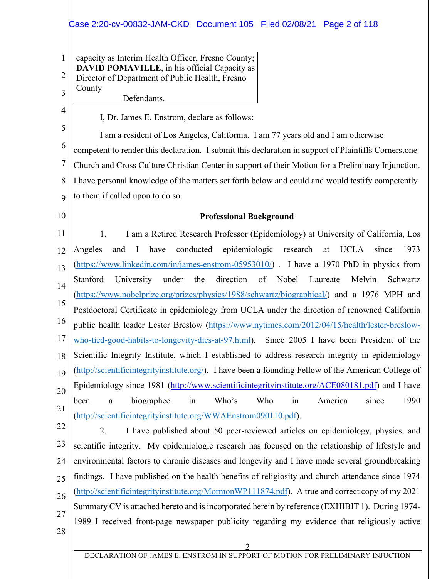# Case 2:20-cv-00832-JAM-CKD Document 105 Filed 02/08/21 Page 2 of 118

1 2 3 capacity as Interim Health Officer, Fresno County; **DAVID POMAVILLE**, in his official Capacity as Director of Department of Public Health, Fresno County Defendants.

I, Dr. James E. Enstrom, declare as follows:

5 6 7 8 9 I am a resident of Los Angeles, California. I am 77 years old and I am otherwise competent to render this declaration. I submit this declaration in support of Plaintiffs Cornerstone Church and Cross Culture Christian Center in support of their Motion for a Preliminary Injunction. I have personal knowledge of the matters set forth below and could and would testify competently to them if called upon to do so.

10

4

#### **Professional Background**

11 12 13 14 15 16 17 18 19 20 21 1. I am a Retired Research Professor (Epidemiology) at University of California, Los Angeles and I have conducted epidemiologic research at UCLA since 1973 [\(https://www.linkedin.com/in/james-enstrom-05953010/\)](https://www.linkedin.com/in/james-enstrom-05953010/) . I have a 1970 PhD in physics from Stanford University under the direction of Nobel Laureate Melvin Schwartz [\(https://www.nobelprize.org/prizes/physics/1988/schwartz/biographical/\)](https://www.nobelprize.org/prizes/physics/1988/schwartz/biographical/) and a 1976 MPH and Postdoctoral Certificate in epidemiology from UCLA under the direction of renowned California public health leader Lester Breslow [\(https://www.nytimes.com/2012/04/15/health/lester-breslow](https://www.nytimes.com/2012/04/15/health/lester-breslow-who-tied-good-habits-to-longevity-dies-at-97.html)[who-tied-good-habits-to-longevity-dies-at-97.html\)](https://www.nytimes.com/2012/04/15/health/lester-breslow-who-tied-good-habits-to-longevity-dies-at-97.html). Since 2005 I have been President of the Scientific Integrity Institute, which I established to address research integrity in epidemiology [\(http://scientificintegrityinstitute.org/\)](http://scientificintegrityinstitute.org/). I have been a founding Fellow of the American College of Epidemiology since 1981 [\(http://www.scientificintegrityinstitute.org/ACE080181.pdf\)](http://scientificintegrityinstitute.org/ACE080181.pdf) and I have been a biographee in Who's Who in America since 1990 [\(http://scientificintegrityinstitute.org/WWAEnstrom090110.pdf\)](http://scientificintegrityinstitute.org/WWAEnstrom090110.pdf).

22

23 24 25 26 27 28 2. I have published about 50 peer-reviewed articles on epidemiology, physics, and scientific integrity. My epidemiologic research has focused on the relationship of lifestyle and environmental factors to chronic diseases and longevity and I have made several groundbreaking findings. I have published on the health benefits of religiosity and church attendance since 1974 [\(http://scientificintegrityinstitute.org/MormonWP111874.pdf\)](http://scientificintegrityinstitute.org/MormonWP111874.pdf). A true and correct copy of my 2021 Summary CV is attached hereto and is incorporated herein by reference (EXHIBIT 1). During 1974- 1989 I received front-page newspaper publicity regarding my evidence that religiously active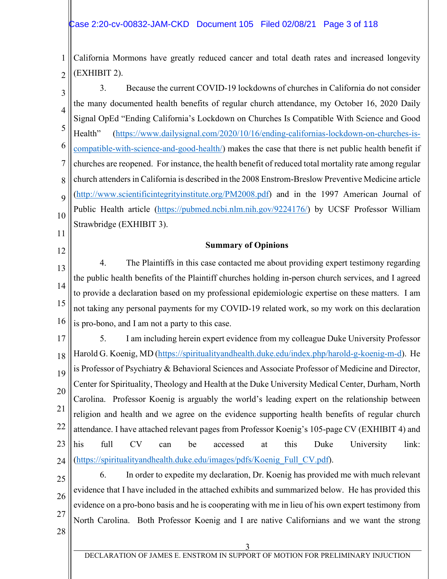1 2 California Mormons have greatly reduced cancer and total death rates and increased longevity (EXHIBIT 2).

3 4 5 6 7 8 9 10 3. Because the current COVID-19 lockdowns of churches in California do not consider the many documented health benefits of regular church attendance, my October 16, 2020 Daily Signal OpEd "Ending California's Lockdown on Churches Is Compatible With Science and Good Health" [\(https://www.dailysignal.com/2020/10/16/ending-californias-lockdown-on-churches-is](https://www.dailysignal.com/2020/10/16/ending-californias-lockdown-on-churches-is-compatible-with-science-and-good-health/)[compatible-with-science-and-good-health/\)](https://www.dailysignal.com/2020/10/16/ending-californias-lockdown-on-churches-is-compatible-with-science-and-good-health/) makes the case that there is net public health benefit if churches are reopened. For instance, the health benefit of reduced total mortality rate among regular church attenders in California is described in the 2008 Enstrom-Breslow Preventive Medicine article [\(http://www.scientificintegrityinstitute.org/PM2008.pdf\)](http://www.scientificintegrityinstitute.org/PM2008.pdf) and in the 1997 American Journal of Public Health article [\(https://pubmed.ncbi.nlm.nih.gov/9224176/\)](https://pubmed.ncbi.nlm.nih.gov/9224176/) by UCSF Professor William Strawbridge (EXHIBIT 3).

#### **Summary of Opinions**

11

12

13 14 15 16 4. The Plaintiffs in this case contacted me about providing expert testimony regarding the public health benefits of the Plaintiff churches holding in-person church services, and I agreed to provide a declaration based on my professional epidemiologic expertise on these matters. I am not taking any personal payments for my COVID-19 related work, so my work on this declaration is pro-bono, and I am not a party to this case.

17 18 19 20 21 22 23 24 5. I am including herein expert evidence from my colleague Duke University Professor Harold G. Koenig, MD [\(https://spiritualityandhealth.duke.edu/index.php/harold-g-koenig-m-d\)](https://spiritualityandhealth.duke.edu/index.php/harold-g-koenig-m-d). He is Professor of Psychiatry & Behavioral Sciences and Associate Professor of Medicine and Director, Center for Spirituality, Theology and Health at the Duke University Medical Center, Durham, North Carolina. Professor Koenig is arguably the world's leading expert on the relationship between religion and health and we agree on the evidence supporting health benefits of regular church attendance. I have attached relevant pages from Professor Koenig's 105-page CV (EXHIBIT 4) and his full CV can be accessed at this Duke University link: [\(https://spiritualityandhealth.duke.edu/images/pdfs/Koenig\\_Full\\_CV.pdf\)](https://spiritualityandhealth.duke.edu/images/pdfs/Koenig_Full_CV.pdf).

25 26 27 28 6. In order to expedite my declaration, Dr. Koenig has provided me with much relevant evidence that I have included in the attached exhibits and summarized below. He has provided this evidence on a pro-bono basis and he is cooperating with me in lieu of his own expert testimony from North Carolina. Both Professor Koenig and I are native Californians and we want the strong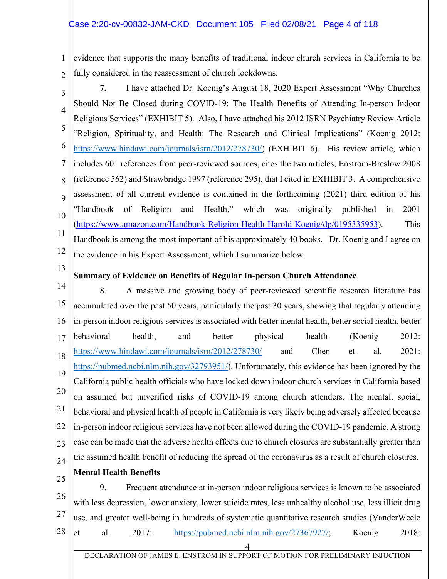1 2 evidence that supports the many benefits of traditional indoor church services in California to be fully considered in the reassessment of church lockdowns.

3 4 5 6 7 8 9 10 11 12 **7.** I have attached Dr. Koenig's August 18, 2020 Expert Assessment "Why Churches Should Not Be Closed during COVID-19: The Health Benefits of Attending In-person Indoor Religious Services" (EXHIBIT 5). Also, I have attached his 2012 ISRN Psychiatry Review Article "Religion, Spirituality, and Health: The Research and Clinical Implications" (Koenig 2012: [https://www.hindawi.com/journals/isrn/2012/278730/\)](https://www.hindawi.com/journals/isrn/2012/278730/) (EXHIBIT 6). His review article, which includes 601 references from peer-reviewed sources, cites the two articles, Enstrom-Breslow 2008 (reference 562) and Strawbridge 1997 (reference 295), that I cited in EXHIBIT 3. A comprehensive assessment of all current evidence is contained in the forthcoming (2021) third edition of his "Handbook of Religion and Health," which was originally published in 2001 [\(https://www.amazon.com/Handbook-Religion-Health-Harold-Koenig/dp/0195335953\)](https://www.amazon.com/Handbook-Religion-Health-Harold-Koenig/dp/0195335953). This Handbook is among the most important of his approximately 40 books. Dr. Koenig and I agree on the evidence in his Expert Assessment, which I summarize below.

13

# **Summary of Evidence on Benefits of Regular In-person Church Attendance**

14 15 16 17 18 19 20 21 22 23 24 8. A massive and growing body of peer-reviewed scientific research literature has accumulated over the past 50 years, particularly the past 30 years, showing that regularly attending in-person indoor religious services is associated with better mental health, better social health, better behavioral health, and better physical health (Koenig 2012: https://www<u>.hindawi.com/journals/isrn/2012/278730/</u> and Chen et al. 2021: [https://pubmed.ncbi.nlm.nih.gov/32793951/\)](https://pubmed.ncbi.nlm.nih.gov/32793951/). Unfortunately, this evidence has been ignored by the California public health officials who have locked down indoor church services in California based on assumed but unverified risks of COVID-19 among church attenders. The mental, social, behavioral and physical health of people in California is very likely being adversely affected because in-person indoor religious services have not been allowed during the COVID-19 pandemic. A strong case can be made that the adverse health effects due to church closures are substantially greater than the assumed health benefit of reducing the spread of the coronavirus as a result of church closures. **Mental Health Benefits**

25

#### 26 27 28 9. Frequent attendance at in-person indoor religious services is known to be associated with less depression, lower anxiety, lower suicide rates, less unhealthy alcohol use, less illicit drug use, and greater well-being in hundreds of systematic quantitative research studies (VanderWeele et al. 2017: [https://pubmed.ncbi.nlm.nih.gov/27367927/;](https://pubmed.ncbi.nlm.nih.gov/27367927/) Koenig 2018:

4 DECLARATION OF JAMES E. ENSTROM IN SUPPORT OF MOTION FOR PRELIMINARY INJUCTION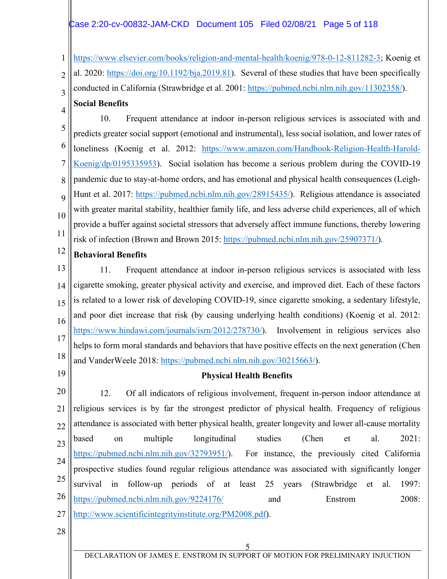### Case 2:20-cv-00832-JAM-CKD Document 105 Filed 02/08/21 Page 5 of 118

1 2 3 [https://www.elsevier.com/books/religion-and-mental-health/koenig/978-0-12-811282-3;](https://www.elsevier.com/books/religion-and-mental-health/koenig/978-0-12-811282-3) Koenig et al. 2020: [https://doi.org/10.1192/bja.2019.81\)](https://doi.org/10.1192/bja.2019.81). Several of these studies that have been specifically conducted in California (Strawbridge et al. 2001: [https://pubmed.ncbi.nlm.nih.gov/11302358/\)](https://pubmed.ncbi.nlm.nih.gov/11302358/). **Social Benefits**

4

5 6 7 8 9 10 11 10. Frequent attendance at indoor in-person religious services is associated with and predicts greater social support (emotional and instrumental), less social isolation, and lower rates of loneliness (Koenig et al. 2012: [https://www.amazon.com/Handbook-Religion-Health-Harold-](https://www.amazon.com/Handbook-Religion-Health-Harold-Koenig/dp/0195335953)[Koenig/dp/0195335953\)](https://www.amazon.com/Handbook-Religion-Health-Harold-Koenig/dp/0195335953). Social isolation has become a serious problem during the COVID-19 pandemic due to stay-at-home orders, and has emotional and physical health consequences (Leigh-Hunt et al. 2017: [https://pubmed.ncbi.nlm.nih.gov/28915435/\)](https://pubmed.ncbi.nlm.nih.gov/28915435/). Religious attendance is associated with greater marital stability, healthier family life, and less adverse child experiences, all of which provide a buffer against societal stressors that adversely affect immune functions, thereby lowering risk of infection (Brown and Brown 2015: [https://pubmed.ncbi.nlm.nih.gov/25907371/\)](https://pubmed.ncbi.nlm.nih.gov/25907371/).

12 **Behavioral Benefits**

13 14 15 16 17 18 11. Frequent attendance at indoor in-person religious services is associated with less cigarette smoking, greater physical activity and exercise, and improved diet. Each of these factors is related to a lower risk of developing COVID-19, since cigarette smoking, a sedentary lifestyle, and poor diet increase that risk (by causing underlying health conditions) (Koenig et al. 2012: [https://www.hindawi.com/journals/isrn/2012/278730/\)](https://www.hindawi.com/journals/isrn/2012/278730/). Involvement in religious services also helps to form moral standards and behaviors that have positive effects on the next generation (Chen and VanderWeele 2018: [https://pubmed.ncbi.nlm.nih.gov/30215663/\)](https://pubmed.ncbi.nlm.nih.gov/30215663/).

19

## **Physical Health Benefits**

20 21 22 23 24 25 26 27 12. Of all indicators of religious involvement, frequent in-person indoor attendance at religious services is by far the strongest predictor of physical health. Frequency of religious attendance is associated with better physical health, greater longevity and lower all-cause mortality based on multiple longitudinal studies (Chen et al. 2021: [https://pubmed.ncbi.nlm.nih.gov/32793951/\)](https://pubmed.ncbi.nlm.nih.gov/32793951/). For instance, the previously cited California prospective studies found regular religious attendance was associated with significantly longer survival in follow-up periods of at least 25 years (Strawbridge et al. 1997: <https://pubmed.ncbi.nlm.nih.gov/9224176/> and Enstrom 2008: [http://www.scientificintegrityinstitute.org/PM2008.pdf\)](http://www.scientificintegrityinstitute.org/PM2008.pdf).

28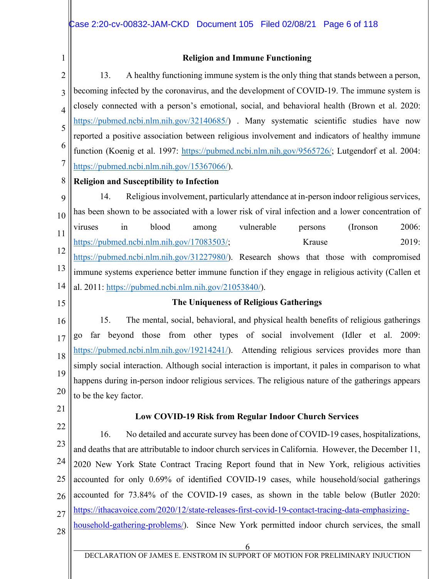1

#### **Religion and Immune Functioning**

2 3 4 5 6 7 13. A healthy functioning immune system is the only thing that stands between a person, becoming infected by the coronavirus, and the development of COVID-19. The immune system is closely connected with a person's emotional, social, and behavioral health (Brown et al. 2020: [https://pubmed.ncbi.nlm.nih.gov/32140685/\)](https://pubmed.ncbi.nlm.nih.gov/32140685/). Many systematic scientific studies have now reported a positive association between religious involvement and indicators of healthy immune function (Koenig et al. 1997: [https://pubmed.ncbi.nlm.nih.gov/9565726/;](https://pubmed.ncbi.nlm.nih.gov/9565726/) Lutgendorf et al. 2004: [https://pubmed.ncbi.nlm.nih.gov/15367066/\)](https://pubmed.ncbi.nlm.nih.gov/15367066/).

#### 8 **Religion and Susceptibility to Infection**

9 10 11 12 13 14 14. Religious involvement, particularly attendance at in-person indoor religious services, has been shown to be associated with a lower risk of viral infection and a lower concentration of viruses in blood among vulnerable persons (Ironson 2006: [https://pubmed.ncbi.nlm.nih.gov/17083503/;](https://pubmed.ncbi.nlm.nih.gov/17083503/) Krause 2019: [https://pubmed.ncbi.nlm.nih.gov/31227980/\)](https://pubmed.ncbi.nlm.nih.gov/31227980/). Research shows that those with compromised immune systems experience better immune function if they engage in religious activity (Callen et al. 2011: [https://pubmed.ncbi.nlm.nih.gov/21053840/\)](https://pubmed.ncbi.nlm.nih.gov/21053840/).

15

#### **The Uniqueness of Religious Gatherings**

16 17 18 19 20 15. The mental, social, behavioral, and physical health benefits of religious gatherings go far beyond those from other types of social involvement (Idler et al. 2009: [https://pubmed.ncbi.nlm.nih.gov/19214241/\)](https://pubmed.ncbi.nlm.nih.gov/19214241/). Attending religious services provides more than simply social interaction. Although social interaction is important, it pales in comparison to what happens during in-person indoor religious services. The religious nature of the gatherings appears to be the key factor.

21

#### **Low COVID-19 Risk from Regular Indoor Church Services**

22 23 24 25 26 27 28 16. No detailed and accurate survey has been done of COVID-19 cases, hospitalizations, and deaths that are attributable to indoor church services in California. However, the December 11, 2020 New York State Contract Tracing Report found that in New York, religious activities accounted for only 0.69% of identified COVID-19 cases, while household/social gatherings accounted for 73.84% of the COVID-19 cases, as shown in the table below (Butler 2020: [https://ithacavoice.com/2020/12/state-releases-first-covid-19-contact-tracing-data-emphasizing](https://ithacavoice.com/2020/12/state-releases-first-covid-19-contact-tracing-data-emphasizing-household-gathering-problems/)[household-gathering-problems/\)](https://ithacavoice.com/2020/12/state-releases-first-covid-19-contact-tracing-data-emphasizing-household-gathering-problems/). Since New York permitted indoor church services, the small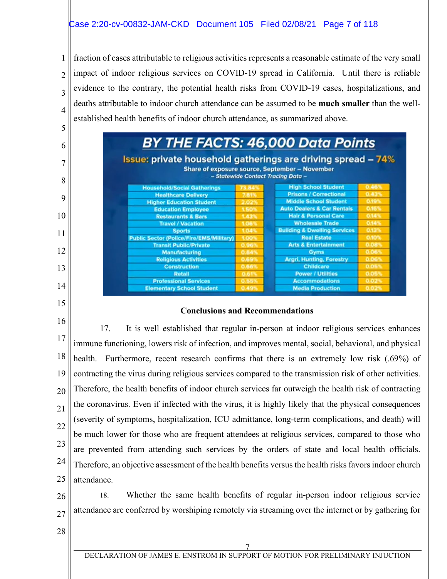### Case 2:20-cv-00832-JAM-CKD Document 105 Filed 02/08/21 Page 7 of 118

1 2 3 4 5 fraction of cases attributable to religious activities represents a reasonable estimate of the very small impact of indoor religious services on COVID-19 spread in California. Until there is reliable evidence to the contrary, the potential health risks from COVID-19 cases, hospitalizations, and deaths attributable to indoor church attendance can be assumed to be **much smaller** than the wellestablished health benefits of indoor church attendance, as summarized above.



#### **Conclusions and Recommendations**

16 17 18 19 20 21 22 23 24 25 17. It is well established that regular in-person at indoor religious services enhances immune functioning, lowers risk of infection, and improves mental, social, behavioral, and physical health. Furthermore, recent research confirms that there is an extremely low risk (.69%) of contracting the virus during religious services compared to the transmission risk of other activities. Therefore, the health benefits of indoor church services far outweigh the health risk of contracting the coronavirus. Even if infected with the virus, it is highly likely that the physical consequences (severity of symptoms, hospitalization, ICU admittance, long-term complications, and death) will be much lower for those who are frequent attendees at religious services, compared to those who are prevented from attending such services by the orders of state and local health officials. Therefore, an objective assessment of the health benefits versus the health risks favors indoor church attendance.

26 27 18. Whether the same health benefits of regular in-person indoor religious service attendance are conferred by worshiping remotely via streaming over the internet or by gathering for

28

6

7

8

9

10

11

12

13

14

15